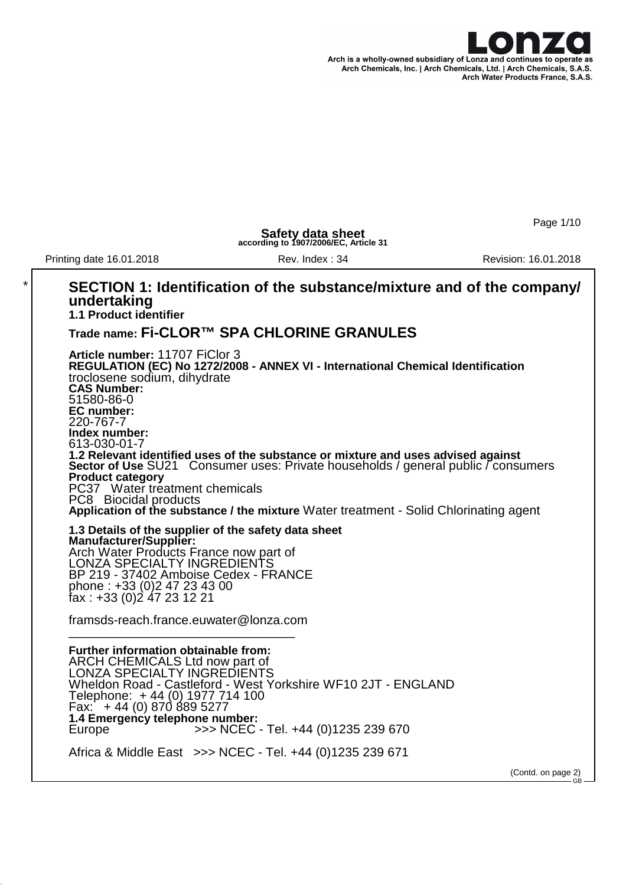

Page 1/10

**Safety data sheet according to 1907/2006/EC, Article 31**

Printing date 16.01.2018 Rev. Index : 34 Revision: 16.01.2018

#### \* **SECTION 1: Identification of the substance/mixture and of the company/ undertaking 1.1 Product identifier Trade name: Fi-CLOR™ SPA CHLORINE GRANULES Article number:** 11707 FiClor 3 **REGULATION (EC) No 1272/2008 - ANNEX VI - International Chemical Identification** troclosene sodium, dihydrate **CAS Number:** 51580-86-0 **EC number:** 220-767-7 **Index number:** 613-030-01-7 **1.2 Relevant identified uses of the substance or mixture and uses advised against Sector of Use** SU21 Consumer uses: Private households / general public / consumers **Product category** PC37 Water treatment chemicals PC8 Biocidal products **Application of the substance / the mixture** Water treatment - Solid Chlorinating agent **1.3 Details of the supplier of the safety data sheet Manufacturer/Supplier:** Arch Water Products France now part of LONZA SPECIALTY INGREDIENTS BP 219 - 37402 Amboise Cedex - FRANCE phone : +33 (0)2 47 23 43 00 fax : +33 (0)2 47 23 12 21 framsds-reach.france.euwater@lonza.com \_\_\_\_\_\_\_\_\_\_\_\_\_\_\_\_\_\_\_\_\_\_\_\_\_\_\_\_\_\_\_\_ **Further information obtainable from:** ARCH CHEMICALS Ltd now part of LONZA SPECIALTY INGREDIENTS Wheldon Road - Castleford - West Yorkshire WF10 2JT - ENGLAND Telephone: + 44 (0) 1977 714 100 Fax: + 44 (0) 870 889 5277 **1.4 Emergency telephone number:** >>> NCEC - Tel. +44 (0)1235 239 670 Africa & Middle East >>> NCEC - Tel. +44 (0)1235 239 671

(Contd. on page 2) GB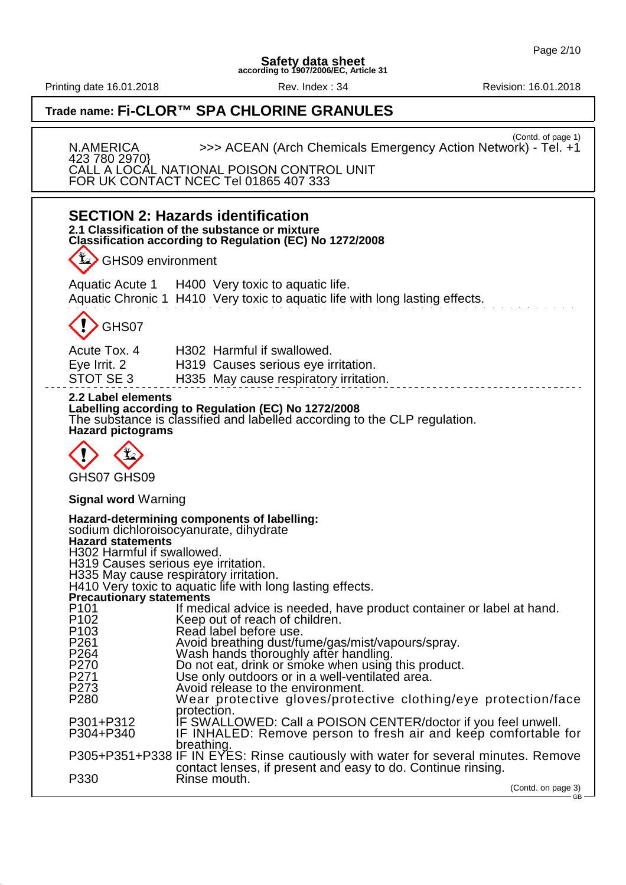Printing date 16.01.2018 **Rev.** Index : 34 Revision: 16.01.2018

# **Trade name: Fi-CLOR™ SPA CHLORINE GRANULES**

(Contd. of page 1) N.AMERICA >>> ACEAN (Arch Chemicals Emergency Action Network) - Tel. +1 423 780 2970}

CALL A LOCAL NATIONAL POISON CONTROL UNIT FOR UK CONTACT NCEC Tel 01865 407 333

|                                                                                                                                                                                                                                     | <b>SECTION 2: Hazards identification</b><br>2.1 Classification of the substance or mixture<br>Classification according to Regulation (EC) No 1272/2008                                                                                                                                                                                                                                                                                                                                                                                                                                                                                                           |
|-------------------------------------------------------------------------------------------------------------------------------------------------------------------------------------------------------------------------------------|------------------------------------------------------------------------------------------------------------------------------------------------------------------------------------------------------------------------------------------------------------------------------------------------------------------------------------------------------------------------------------------------------------------------------------------------------------------------------------------------------------------------------------------------------------------------------------------------------------------------------------------------------------------|
| $\Rightarrow$<br>GHS09 environment                                                                                                                                                                                                  |                                                                                                                                                                                                                                                                                                                                                                                                                                                                                                                                                                                                                                                                  |
|                                                                                                                                                                                                                                     | Aquatic Acute 1 H400 Very toxic to aquatic life.<br>Aquatic Chronic 1 H410 Very toxic to aquatic life with long lasting effects.                                                                                                                                                                                                                                                                                                                                                                                                                                                                                                                                 |
| GHS07                                                                                                                                                                                                                               |                                                                                                                                                                                                                                                                                                                                                                                                                                                                                                                                                                                                                                                                  |
| Acute Tox. 4<br>Eye Irrit. 2<br>STOT SE 3                                                                                                                                                                                           | H302 Harmful if swallowed.<br>H319 Causes serious eye irritation.<br>H335 May cause respiratory irritation.                                                                                                                                                                                                                                                                                                                                                                                                                                                                                                                                                      |
| 2.2 Label elements<br><b>Hazard pictograms</b><br>GHS07 GHS09                                                                                                                                                                       | Labelling according to Regulation (EC) No 1272/2008<br>The substance is classified and labelled according to the CLP regulation.                                                                                                                                                                                                                                                                                                                                                                                                                                                                                                                                 |
| <b>Signal word Warning</b>                                                                                                                                                                                                          |                                                                                                                                                                                                                                                                                                                                                                                                                                                                                                                                                                                                                                                                  |
| <b>Hazard statements</b><br>H302 Harmful if swallowed.<br>H319 Causes serious eye irritation.<br><b>Precautionary statements</b><br>P101<br>P <sub>102</sub><br>$P$ 103<br>P <sub>261</sub><br>P264<br>P270<br>P271<br>P273<br>P280 | Hazard-determining components of labelling:<br>sodium dichloroisocyanurate, dihydrate<br>H335 May cause respiratory irritation.<br>H410 Very toxic to aquatic life with long lasting effects.<br>If medical advice is needed, have product container or label at hand.<br>Keep out of reach of children.<br>Read label before use.<br>Avoid breathing dust/fume/gas/mist/vapours/spray.<br>Wash hands thoroughly after handling.<br>Do not eat, drink or smoke when using this product.<br>Use only outdoors or in a well-ventilated area.<br>Avoid release to the environment.<br>Wear protective gloves/protective clothing/eye protection/face<br>protection. |
| P301+P312<br>P304+P340                                                                                                                                                                                                              | IF SWALLOWED: Call a POISON CENTER/doctor if you feel unwell.<br>IF INHALED: Remove person to fresh air and keep comfortable for<br>breathing.                                                                                                                                                                                                                                                                                                                                                                                                                                                                                                                   |
| P330                                                                                                                                                                                                                                | P305+P351+P338 IF IN EYES: Rinse cautiously with water for several minutes. Remove<br>contact lenses, if present and easy to do. Continue rinsing.<br>Rinse mouth.<br>(Contd. on page 3)                                                                                                                                                                                                                                                                                                                                                                                                                                                                         |
|                                                                                                                                                                                                                                     | - GB —                                                                                                                                                                                                                                                                                                                                                                                                                                                                                                                                                                                                                                                           |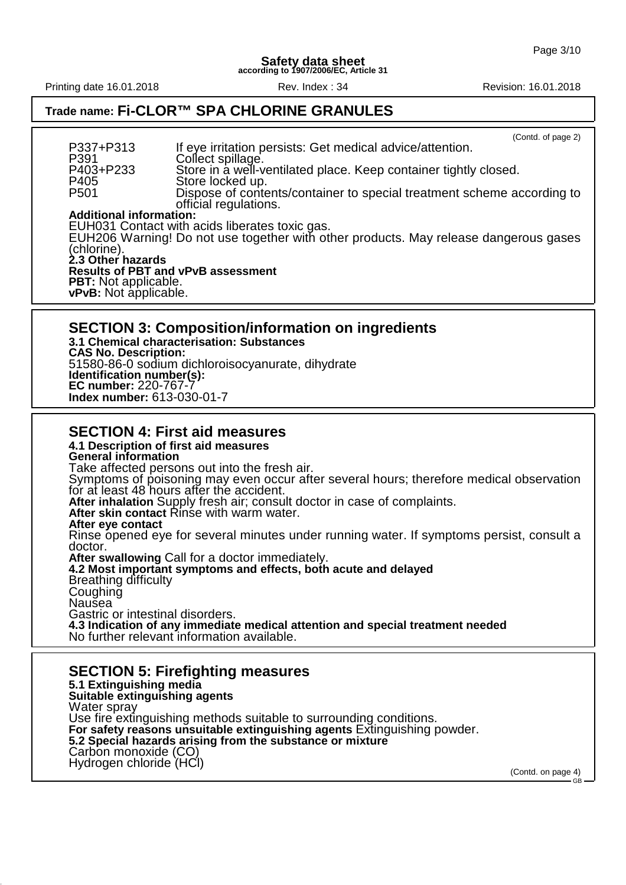Printing date 16.01.2018 **Rev.** Index : 34 Revision: 16.01.2018

# **Trade name: Fi-CLOR™ SPA CHLORINE GRANULES**

| P337+P313<br>P391<br>P403+P233<br>P405<br>P <sub>501</sub><br><b>Additional information:</b><br>(chlorine).<br>2.3 Other hazards<br><b>PBT:</b> Not applicable.<br><b>vPvB:</b> Not applicable. | (Contd. of page 2)<br>If eye irritation persists: Get medical advice/attention.<br>Collect spillage.<br>Store in a well-ventilated place. Keep container tightly closed.<br>Store locked up.<br>Dispose of contents/container to special treatment scheme according to<br>official regulations.<br>EUH031 Contact with acids liberates toxic gas.<br>EUH206 Warning! Do not use together with other products. May release dangerous gases<br><b>Results of PBT and vPvB assessment</b>                                                                                                                                                                                                                                                            |
|-------------------------------------------------------------------------------------------------------------------------------------------------------------------------------------------------|---------------------------------------------------------------------------------------------------------------------------------------------------------------------------------------------------------------------------------------------------------------------------------------------------------------------------------------------------------------------------------------------------------------------------------------------------------------------------------------------------------------------------------------------------------------------------------------------------------------------------------------------------------------------------------------------------------------------------------------------------|
| <b>CAS No. Description:</b><br>Identification number(s):<br>EC number: 220-767-7<br>Index number: 613-030-01-7                                                                                  | <b>SECTION 3: Composition/information on ingredients</b><br>3.1 Chemical characterisation: Substances<br>51580-86-0 sodium dichloroisocyanurate, dihydrate                                                                                                                                                                                                                                                                                                                                                                                                                                                                                                                                                                                        |
| <b>General information</b><br>After eye contact<br>doctor.<br>Breathing difficulty<br>Coughing<br>Nausea<br>Gastric or intestinal disorders.                                                    | <b>SECTION 4: First aid measures</b><br>4.1 Description of first aid measures<br>Take affected persons out into the fresh air.<br>Symptoms of poisoning may even occur after several hours; therefore medical observation<br>for at least 48 hours after the accident.<br>After inhalation Supply fresh air; consult doctor in case of complaints.<br>After skin contact Rinse with warm water.<br>Rinse opened eye for several minutes under running water. If symptoms persist, consult a<br>After swallowing Call for a doctor immediately.<br>4.2 Most important symptoms and effects, both acute and delayed<br>4.3 Indication of any immediate medical attention and special treatment needed<br>No further relevant information available. |
| 5.1 Extinguishing media<br>Suitable extinguishing agents<br>Water spray                                                                                                                         | <b>SECTION 5: Firefighting measures</b>                                                                                                                                                                                                                                                                                                                                                                                                                                                                                                                                                                                                                                                                                                           |

Use fire extinguishing methods suitable to surrounding conditions. **For safety reasons unsuitable extinguishing agents** Extinguishing powder. **5.2 Special hazards arising from the substance or mixture** Carbon monoxide (CO)

Hydrogen chloride (HCl)

(Contd. on page 4)  $GF<sub>CR</sub>$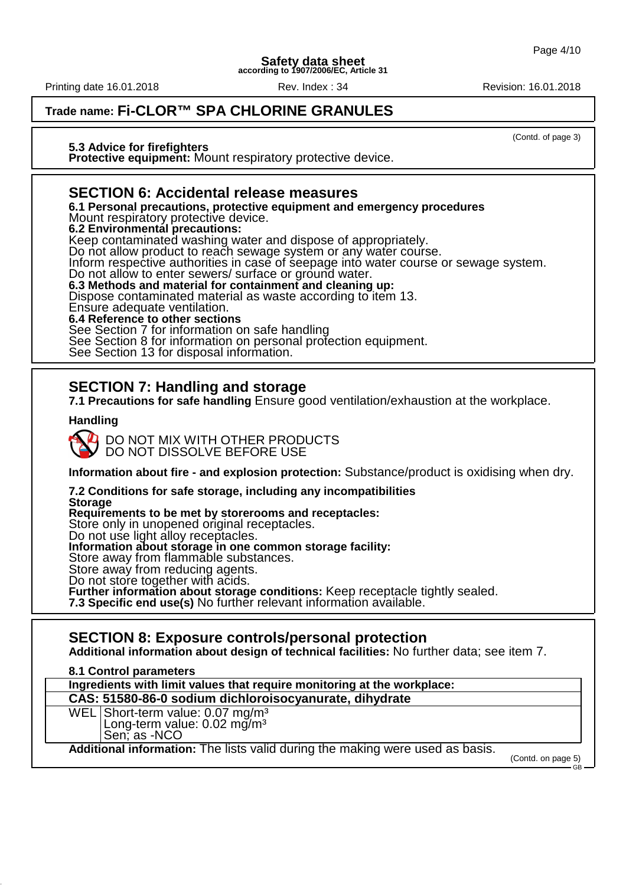Printing date 16.01.2018 Rev. Index : 34 Revision: 16.01.2018

(Contd. of page 3)

# **Trade name: Fi-CLOR™ SPA CHLORINE GRANULES**

**5.3 Advice for firefighters**

**Protective equipment:** Mount respiratory protective device.

#### **SECTION 6: Accidental release measures**

**6.1 Personal precautions, protective equipment and emergency procedures**

Mount respiratory protective device.

**6.2 Environmental precautions:**

Keep contaminated washing water and dispose of appropriately.

Do not allow product to reach sewage system or any water course.

Inform respective authorities in case of seepage into water course or sewage system.

Do not allow to enter sewers/ surface or ground water.

**6.3 Methods and material for containment and cleaning up:**

Dispose contaminated material as waste according to item 13.

Ensure adequate ventilation.

**6.4 Reference to other sections**

See Section 7 for information on safe handling

See Section 8 for information on personal protection equipment.

See Section 13 for disposal information.

### **SECTION 7: Handling and storage**

**7.1 Precautions for safe handling** Ensure good ventilation/exhaustion at the workplace.

#### **Handling**

DO NOT MIX WITH OTHER PRODUCTS DO NOT DISSOLVE BEFORE USE

**Information about fire - and explosion protection:** Substance/product is oxidising when dry.

**7.2 Conditions for safe storage, including any incompatibilities Storage Requirements to be met by storerooms and receptacles:** Store only in unopened original receptacles. Do not use light alloy receptacles.

**Information about storage in one common storage facility:**

Store away from flammable substances.

Store away from reducing agents.

Do not store together with acids.

**Further information about storage conditions:** Keep receptacle tightly sealed.

**7.3 Specific end use(s)** No further relevant information available.

#### **SECTION 8: Exposure controls/personal protection**

**Additional information about design of technical facilities:** No further data; see item 7.

**8.1 Control parameters**

**Ingredients with limit values that require monitoring at the workplace: CAS: 51580-86-0 sodium dichloroisocyanurate, dihydrate**

WEL Short-term value: 0.07 mg/m<sup>3</sup> Long-term value: 0.02 mg/m<sup>3</sup> Sen; as -NCO

**Additional information:** The lists valid during the making were used as basis.

(Contd. on page 5) GB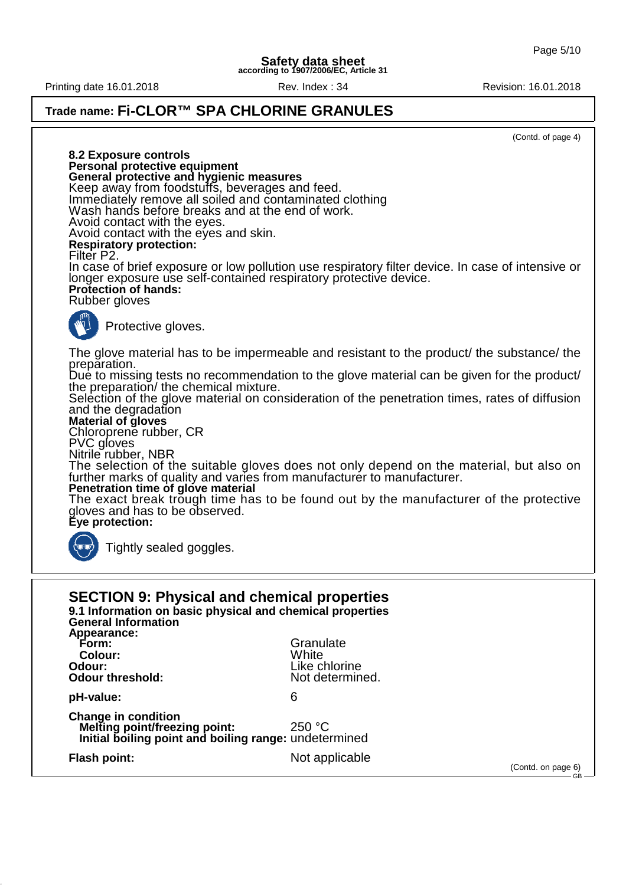Printing date 16.01.2018 Rev. Index : 34 Revision: 16.01.2018

### **Trade name: Fi-CLOR™ SPA CHLORINE GRANULES**

(Contd. of page 4)

**8.2 Exposure controls Personal protective equipment General protective and hygienic measures** Keep away from foodstuffs, beverages and feed. Immediately remove all soiled and contaminated clothing Wash hands before breaks and at the end of work. Avoid contact with the eyes. Avoid contact with the eyes and skin. **Respiratory protection:** Filter P2. In case of brief exposure or low pollution use respiratory filter device. In case of intensive or longer exposure use self-contained respiratory protective device. **Protection of hands:** Rubber gloves Protective gloves. The glove material has to be impermeable and resistant to the product/ the substance/ the prepăration. Due to missing tests no recommendation to the glove material can be given for the product/ the preparation/ the chemical mixture. Selection of the glove material on consideration of the penetration times, rates of diffusion and the degradation **Material of gloves** Chloroprene rubber, CR PVC gloves Nitrile rubber, NBR The selection of the suitable gloves does not only depend on the material, but also on further marks of quality and varies from manufacturer to manufacturer. **Penetration time of glove material** The exact break trough time has to be found out by the manufacturer of the protective gloves and has to be observed. **Eye protection:** Tightly sealed goggles. **SECTION 9: Physical and chemical properties 9.1 Information on basic physical and chemical properties General Information Appearance: Granulate**<br>White Colour: **Odour:** Like chlorine<br> **Odour threshold:** Not determine Not determined. **pH-value:** 6 **Change in condition Melting point/freezing point:** 250 °C **Initial boiling point and boiling range:** undetermined **Flash point:** Not applicable (Contd. on page 6) GB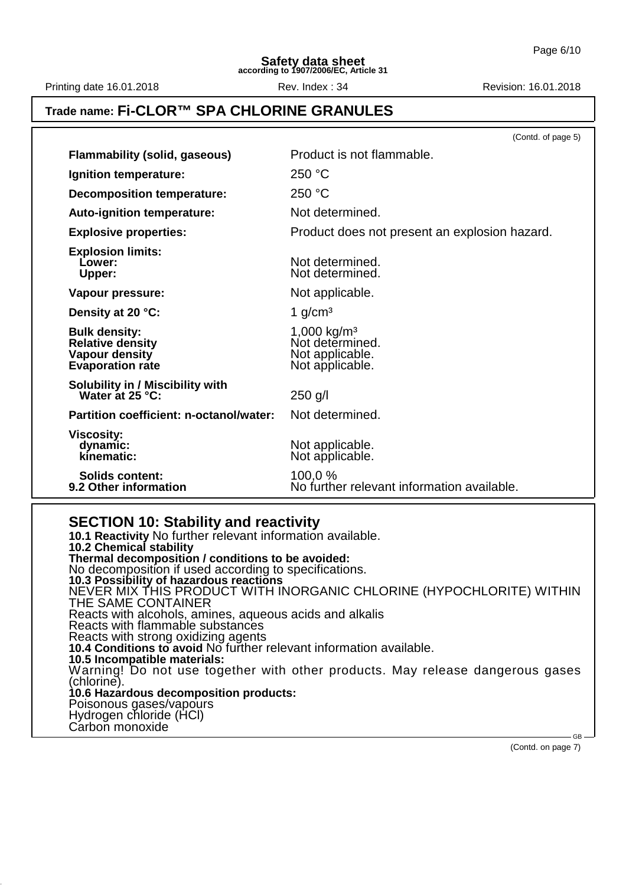Printing date 16.01.2018 Rev. Index : 34 Revision: 16.01.2018

# **Trade name: Fi-CLOR™ SPA CHLORINE GRANULES**

(Contd. of page 5) **Flammability (solid, gaseous)** Product is not flammable. **Ignition temperature:** 250 °C **Decomposition temperature:** 250 °C Auto-ignition temperature: Not determined. **Explosive properties:** Product does not present an explosion hazard. **Explosion limits: Lower:** Not determined.<br>
Upper: Not determined. Not determined. **Vapour pressure:** Not applicable. **Density at 20 °C:** 1 g/cm<sup>3</sup> **Bulk density:** 1,000 kg/m³ **Relative density**<br> **Vapour density**<br> **Vapour density**<br> **Not applicable. Not applicable.**<br>Not applicable. **Evaporation rate Solubility in / Miscibility with Water at 25 °C:** 250 g/l **Partition coefficient: n-octanol/water:** Not determined. **Viscosity: dynamic:** Not applicable.<br> **kinematic:** Not applicable. Not applicable. **Solids content:** 100,0 %<br> **9.2 Other information** No furtherment No further relevant information available.

**SECTION 10: Stability and reactivity 10.1 Reactivity** No further relevant information available. **10.2 Chemical stability Thermal decomposition / conditions to be avoided:** No decomposition if used according to specifications. **10.3 Possibility of hazardous reactions** NEVER MIX THIS PRODUCT WITH INORGANIC CHLORINE (HYPOCHLORITE) WITHIN THE SAME CONTAINER Reacts with alcohols, amines, aqueous acids and alkalis Reacts with flammable substances Reacts with strong oxidizing agents **10.4 Conditions to avoid** No further relevant information available. **10.5 Incompatible materials:** Warning! Do not use together with other products. May release dangerous gases (chlorine). **10.6 Hazardous decomposition products:** Poisonous gases/vapours Hydrogen chloride (HCl) Carbon monoxide

(Contd. on page 7)

GB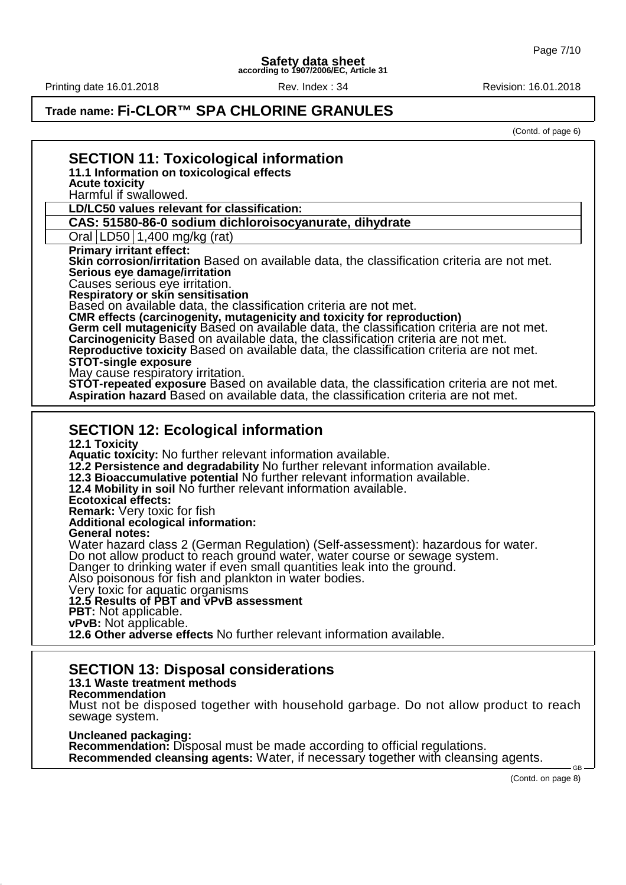Printing date 16.01.2018 **Rev. Index : 34** Rev. Index : 34

# **Trade name: Fi-CLOR™ SPA CHLORINE GRANULES**

(Contd. of page 6)

| <b>SECTION 11: Toxicological information</b>                                                                                                                                                                                                                                                                                                                                                                                                                                                                                                                                                                                                                                                                                                                                                                                                                                                                                                                                                                                        |  |  |  |  |
|-------------------------------------------------------------------------------------------------------------------------------------------------------------------------------------------------------------------------------------------------------------------------------------------------------------------------------------------------------------------------------------------------------------------------------------------------------------------------------------------------------------------------------------------------------------------------------------------------------------------------------------------------------------------------------------------------------------------------------------------------------------------------------------------------------------------------------------------------------------------------------------------------------------------------------------------------------------------------------------------------------------------------------------|--|--|--|--|
| 11.1 Information on toxicological effects<br><b>Acute toxicity</b>                                                                                                                                                                                                                                                                                                                                                                                                                                                                                                                                                                                                                                                                                                                                                                                                                                                                                                                                                                  |  |  |  |  |
| Harmful if swallowed.                                                                                                                                                                                                                                                                                                                                                                                                                                                                                                                                                                                                                                                                                                                                                                                                                                                                                                                                                                                                               |  |  |  |  |
| LD/LC50 values relevant for classification:                                                                                                                                                                                                                                                                                                                                                                                                                                                                                                                                                                                                                                                                                                                                                                                                                                                                                                                                                                                         |  |  |  |  |
| CAS: 51580-86-0 sodium dichloroisocyanurate, dihydrate                                                                                                                                                                                                                                                                                                                                                                                                                                                                                                                                                                                                                                                                                                                                                                                                                                                                                                                                                                              |  |  |  |  |
| Oral   LD50   1,400 mg/kg (rat)                                                                                                                                                                                                                                                                                                                                                                                                                                                                                                                                                                                                                                                                                                                                                                                                                                                                                                                                                                                                     |  |  |  |  |
| <b>Primary irritant effect:</b>                                                                                                                                                                                                                                                                                                                                                                                                                                                                                                                                                                                                                                                                                                                                                                                                                                                                                                                                                                                                     |  |  |  |  |
| Skin corrosion/irritation Based on available data, the classification criteria are not met.                                                                                                                                                                                                                                                                                                                                                                                                                                                                                                                                                                                                                                                                                                                                                                                                                                                                                                                                         |  |  |  |  |
| Serious eye damage/irritation                                                                                                                                                                                                                                                                                                                                                                                                                                                                                                                                                                                                                                                                                                                                                                                                                                                                                                                                                                                                       |  |  |  |  |
| Causes serious eye irritation.<br>Respiratory or skin sensitisation                                                                                                                                                                                                                                                                                                                                                                                                                                                                                                                                                                                                                                                                                                                                                                                                                                                                                                                                                                 |  |  |  |  |
| Based on available data, the classification criteria are not met.                                                                                                                                                                                                                                                                                                                                                                                                                                                                                                                                                                                                                                                                                                                                                                                                                                                                                                                                                                   |  |  |  |  |
| CMR effects (carcinogenity, mutagenicity and toxicity for reproduction)                                                                                                                                                                                                                                                                                                                                                                                                                                                                                                                                                                                                                                                                                                                                                                                                                                                                                                                                                             |  |  |  |  |
| Germ cell mutagenicity Based on available data, the classification critéria are not met.                                                                                                                                                                                                                                                                                                                                                                                                                                                                                                                                                                                                                                                                                                                                                                                                                                                                                                                                            |  |  |  |  |
| Carcinogenicity Based on available data, the classification criteria are not met.<br>Reproductive toxicity Based on available data, the classification criteria are not met.                                                                                                                                                                                                                                                                                                                                                                                                                                                                                                                                                                                                                                                                                                                                                                                                                                                        |  |  |  |  |
| <b>STOT-single exposure</b>                                                                                                                                                                                                                                                                                                                                                                                                                                                                                                                                                                                                                                                                                                                                                                                                                                                                                                                                                                                                         |  |  |  |  |
| May cause respiratory irritation.                                                                                                                                                                                                                                                                                                                                                                                                                                                                                                                                                                                                                                                                                                                                                                                                                                                                                                                                                                                                   |  |  |  |  |
| <b>STÓT-repeated exposure</b> Based on available data, the classification criteria are not met.                                                                                                                                                                                                                                                                                                                                                                                                                                                                                                                                                                                                                                                                                                                                                                                                                                                                                                                                     |  |  |  |  |
| Aspiration hazard Based on available data, the classification criteria are not met.                                                                                                                                                                                                                                                                                                                                                                                                                                                                                                                                                                                                                                                                                                                                                                                                                                                                                                                                                 |  |  |  |  |
| <b>SECTION 12: Ecological information</b><br><b>12.1 Toxicity</b><br>Aquatic toxicity: No further relevant information available.<br>12.2 Persistence and degradability No further relevant information available.<br>12.3 Bioaccumulative potential No further relevant information available.<br>12.4 Mobility in soil No further relevant information available.<br><b>Ecotoxical effects:</b><br><b>Remark:</b> Very toxic for fish<br><b>Additional ecological information:</b><br><b>General notes:</b><br>Water hazard class 2 (German Regulation) (Self-assessment): hazardous for water.<br>Do not allow product to reach ground water, water course or sewage system.<br>Danger to drinking water if even small quantities leak into the ground.<br>Also poisonous for fish and plankton in water bodies.<br>Very toxic for aquatic organisms<br>12.5 Results of PBT and vPvB assessment<br><b>PBT:</b> Not applicable.<br>vPvB: Not applicable.<br>12.6 Other adverse effects No further relevant information available. |  |  |  |  |
| <b>SECTION 13: Disposal considerations</b><br>13.1 Waste treatment methods<br><b>Recommendation</b><br>Must not be disposed together with household garbage. Do not allow product to reach<br>sewage system.                                                                                                                                                                                                                                                                                                                                                                                                                                                                                                                                                                                                                                                                                                                                                                                                                        |  |  |  |  |

**Uncleaned packaging: Recommendation:** Disposal must be made according to official regulations. **Recommended cleansing agents:** Water, if necessary together with cleansing agents.

(Contd. on page 8)

GB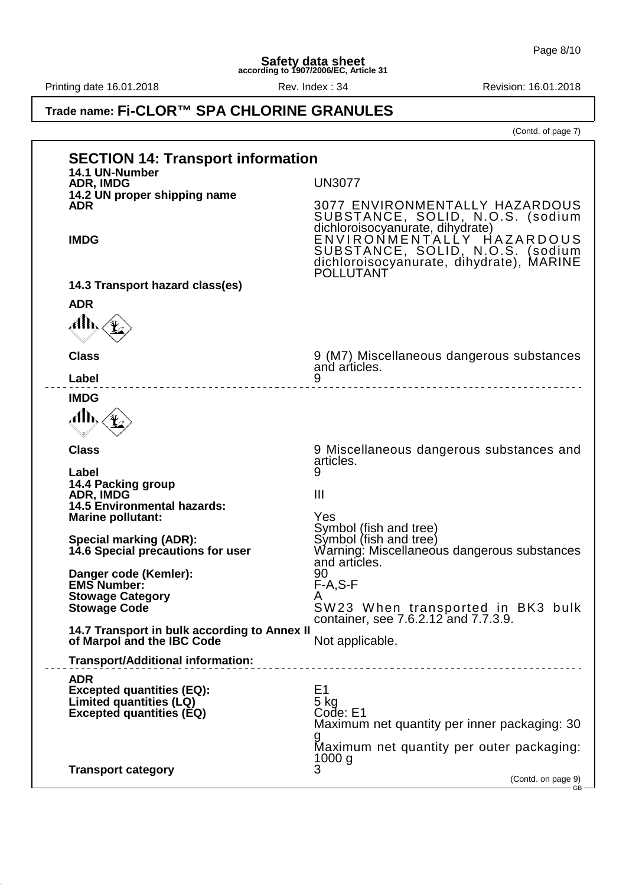Printing date 16.01.2018 **Rev.** Index : 34 Revision: 16.01.2018

# **Trade name: Fi-CLOR™ SPA CHLORINE GRANULES**

(Contd. of page 7)

|                     | <b>SECTION 14: Transport information</b>                                   |                                                                                                                                                                   |  |
|---------------------|----------------------------------------------------------------------------|-------------------------------------------------------------------------------------------------------------------------------------------------------------------|--|
|                     | 14.1 UN-Number<br>ADR, IMDG                                                | <b>UN3077</b>                                                                                                                                                     |  |
| <b>ADR</b>          | 14.2 UN proper shipping name                                               | 3077 ENVIRONMENTALLY HAZARDOUS<br>SUBSTANCE, SOLID, N.O.S. (sodium                                                                                                |  |
| <b>IMDG</b>         |                                                                            | dichloroisocyanurate, dihydrate)<br>ENVIRONMENTALLY HAZARDOUS<br>SUBSTANCE, SOLID, N.O.S. (sodium<br>dichloroisocyanurate, dihydrate), MARINE<br><b>POLLUTANT</b> |  |
|                     | 14.3 Transport hazard class(es)                                            |                                                                                                                                                                   |  |
| <b>ADR</b>          |                                                                            |                                                                                                                                                                   |  |
| .albs               |                                                                            |                                                                                                                                                                   |  |
| <b>Class</b>        |                                                                            | 9 (M7) Miscellaneous dangerous substances<br>and articles.                                                                                                        |  |
| Label               | _____________________                                                      | 9                                                                                                                                                                 |  |
| <b>IMDG</b><br>Alb, |                                                                            |                                                                                                                                                                   |  |
| <b>Class</b>        |                                                                            | 9 Miscellaneous dangerous substances and<br>articles.                                                                                                             |  |
| Label               | 14.4 Packing group                                                         | 9                                                                                                                                                                 |  |
|                     | ADR, IMDG<br><b>14.5 Environmental hazards:</b>                            | $\mathbf{III}$                                                                                                                                                    |  |
|                     | <b>Marine pollutant:</b>                                                   | Yes                                                                                                                                                               |  |
|                     | <b>Special marking (ADR):</b><br>14.6 Special precautions for user         | Symbol (fish and tree)<br>Symbol (fish and tree)<br>Warning: Miscellaneous dangerous substances                                                                   |  |
|                     | Danger code (Kemler):                                                      | and articles.<br>90                                                                                                                                               |  |
|                     | <b>EMS Number:</b><br><b>Stowage Category</b>                              | $F-A, S-F$                                                                                                                                                        |  |
|                     | <b>Stowage Code</b>                                                        | SW23 When transported in BK3 bulk                                                                                                                                 |  |
|                     | 14.7 Transport in bulk according to Annex II<br>of Marpol and the IBC Code | container, see 7.6.2.12 and 7.7.3.9.<br>Not applicable.                                                                                                           |  |
|                     | <b>Transport/Additional information:</b>                                   |                                                                                                                                                                   |  |
| <b>ADR</b>          | <b>Excepted quantities (EQ):</b><br>Limited quantities (LQ)                | E <sub>1</sub><br>$5$ kg                                                                                                                                          |  |
|                     | <b>Excepted quantities (EQ)</b>                                            | Code: E1<br>Maximum net quantity per inner packaging: 30                                                                                                          |  |
|                     |                                                                            | Maximum net quantity per outer packaging:<br>1000 g                                                                                                               |  |
|                     | <b>Transport category</b>                                                  | 3<br>(Contd. on page 9)<br>$GB -$                                                                                                                                 |  |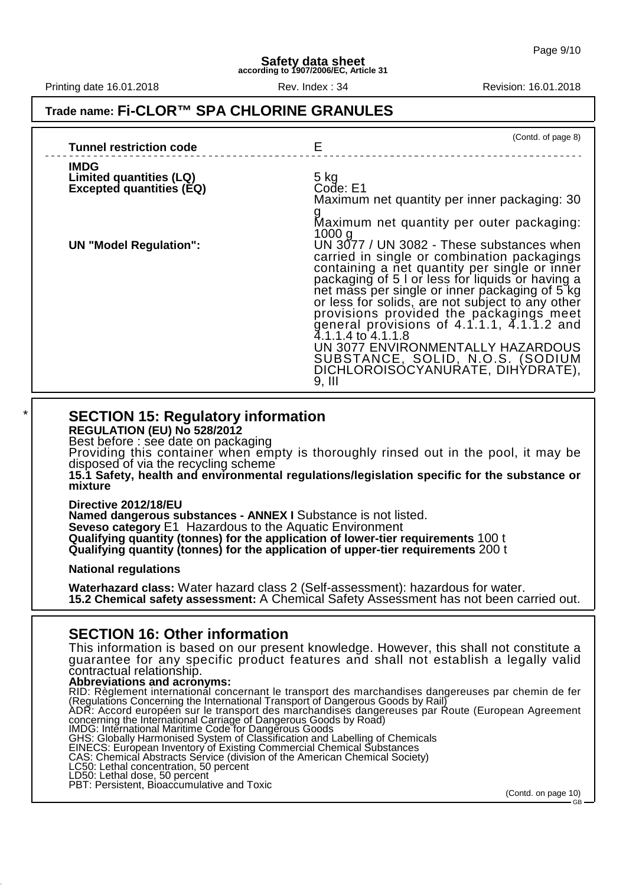Printing date 16.01.2018 Rev. Index : 34 Revision: 16.01.2018

#### **Trade name: Fi-CLOR™ SPA CHLORINE GRANULES**

| <b>Tunnel restriction code</b>                                            | (Contd. of page 8)<br>Е                                                                                                                                                                                                                                                                                                                                                                                                                                                                                                                                         |
|---------------------------------------------------------------------------|-----------------------------------------------------------------------------------------------------------------------------------------------------------------------------------------------------------------------------------------------------------------------------------------------------------------------------------------------------------------------------------------------------------------------------------------------------------------------------------------------------------------------------------------------------------------|
| <b>IMDG</b><br>Limited quantities (LQ)<br><b>Excepted quantities (EQ)</b> | $5$ kg<br>Code: E1<br>Maximum net quantity per inner packaging: 30<br>9.<br>Maximum net quantity per outer packaging:                                                                                                                                                                                                                                                                                                                                                                                                                                           |
| <b>UN "Model Regulation":</b>                                             | 1000 <sub>q</sub><br>UN 3077 / UN 3082 - These substances when<br>carried in single or combination packagings<br>containing a net quantity per single or inner<br>packaging of 5.1 or less for liquids or having a<br>net mass per single or inner packaging of 5 kg<br>or less for solids, are not subject to any other<br>provisions provided the packagings meet<br>general provisions of 4.1.1.1, 4.1.1.2 and<br>4.1.1.4 to 4.1.1.8<br>UN 3077 ENVIRONMENTALLY HAZARDOUS<br>SUBSTANCE, SOLID, N.O.S. (SODIUM<br>DICHLOROISÓCYANURATE, DIHYDRATE),<br>9, III |

#### **SECTION 15: Regulatory information**

**REGULATION (EU) No 528/2012**

Best before : see date on packaging

Providing this container when empty is thoroughly rinsed out in the pool, it may be disposed of via the recycling scheme

**15.1 Safety, health and environmental regulations/legislation specific for the substance or mixture**

**Directive 2012/18/EU Named dangerous substances - ANNEX I** Substance is not listed. **Seveso category** E1 Hazardous to the Aquatic Environment **Qualifying quantity (tonnes) for the application of lower-tier requirements** 100 t **Qualifying quantity (tonnes) for the application of upper-tier requirements** 200 t

**National regulations**

**Waterhazard class:** Water hazard class 2 (Self-assessment): hazardous for water. **15.2 Chemical safety assessment:** A Chemical Safety Assessment has not been carried out.

#### **SECTION 16: Other information**

This information is based on our present knowledge. However, this shall not constitute a guarantee for any specific product features and shall not establish a legally valid contractual relationship.

Abbreviations and acronyms: RID: Règlement international concernant le transport des marchandises dangereuses par chemin de fer (Regulations Concerning the International Transport of Dangerous Goods by Rail) ADR: Accord européen sur le transport des marchandises dangereuses par Route (European Agreement concerning the International Carriage of Dangerous Goods by Road)

IMDG: International Maritime Code for Dangerous Goods

GHS: Globally Harmonised System of Classification and Labelling of Chemicals

EINECS: European Inventory of Existing Commercial Chemical Substances

CAS: Chemical Abstracts Service (division of the American Chemical Society)

LC50: Lethal concentration, 50 percent

LD50: Lethal dose, 50 percent

PBT: Persistent, Bioaccumulative and Toxic

(Contd. on page 10)

GB